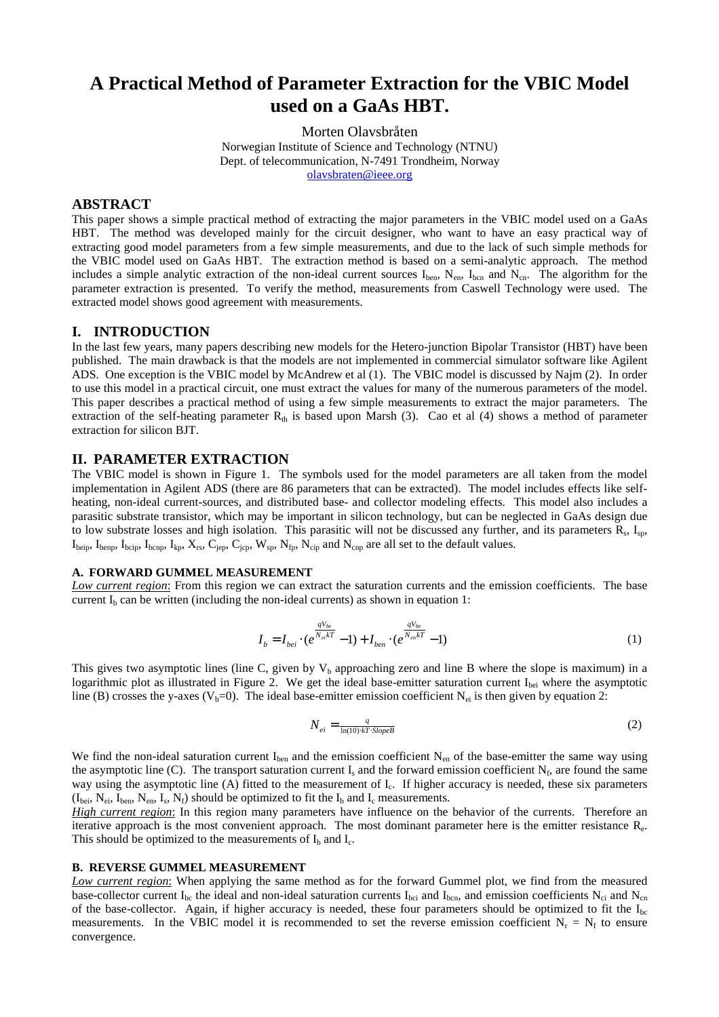# **A Practical Method of Parameter Extraction for the VBIC Model used on a GaAs HBT.**

Morten Olavsbråten Norwegian Institute of Science and Technology (NTNU) Dept. of telecommunication, N-7491 Trondheim, Norway [olavsbraten@ieee.org](mailto:olavsbraten@ieee.org)

# **ABSTRACT**

This paper shows a simple practical method of extracting the major parameters in the VBIC model used on a GaAs HBT. The method was developed mainly for the circuit designer, who want to have an easy practical way of extracting good model parameters from a few simple measurements, and due to the lack of such simple methods for the VBIC model used on GaAs HBT. The extraction method is based on a semi-analytic approach. The method includes a simple analytic extraction of the non-ideal current sources  $I_{ben}$ ,  $N_{en}$ ,  $I_{ben}$  and  $N_{cn}$ . The algorithm for the parameter extraction is presented. To verify the method, measurements from Caswell Technology were used. The extracted model shows good agreement with measurements.

### **I. INTRODUCTION**

In the last few years, many papers describing new models for the Hetero-junction Bipolar Transistor (HBT) have been published. The main drawback is that the models are not implemented in commercial simulator software like Agilent ADS. One exception is the VBIC model by McAndrew et al (1). The VBIC model is discussed by Najm (2). In order to use this model in a practical circuit, one must extract the values for many of the numerous parameters of the model. This paper describes a practical method of using a few simple measurements to extract the major parameters. The extraction of the self-heating parameter  $R<sub>th</sub>$  is based upon Marsh (3). Cao et al (4) shows a method of parameter extraction for silicon BJT.

# **II. PARAMETER EXTRACTION**

The VBIC model is shown in Figure 1. The symbols used for the model parameters are all taken from the model implementation in Agilent ADS (there are 86 parameters that can be extracted). The model includes effects like selfheating, non-ideal current-sources, and distributed base- and collector modeling effects. This model also includes a parasitic substrate transistor, which may be important in silicon technology, but can be neglected in GaAs design due to low substrate losses and high isolation. This parasitic will not be discussed any further, and its parameters  $R_s$ ,  $I_{sp}$ ,  $I_{\text{beip}}$ ,  $I_{\text{bemp}}$ ,  $I_{\text{bcap}}$ ,  $I_{\text{kpp}}$ ,  $X_{\text{rs}}$ ,  $C_{\text{jep}}$ ,  $C_{\text{jcp}}$ ,  $W_{\text{sp}}$ ,  $N_{\text{fip}}$ ,  $N_{\text{clip}}$  and  $N_{\text{cmp}}$  are all set to the default values.

#### **A. FORWARD GUMMEL MEASUREMENT**

*Low current region*: From this region we can extract the saturation currents and the emission coefficients. The base current  $I<sub>b</sub>$  can be written (including the non-ideal currents) as shown in equation 1:

$$
I_b = I_{bei} \cdot (e^{\frac{qV_{be}}{N_{ei}kT}} - 1) + I_{ben} \cdot (e^{\frac{qV_{be}}{N_{en}kT}} - 1)
$$
 (1)

This gives two asymptotic lines (line C, given by  $V_b$  approaching zero and line B where the slope is maximum) in a logarithmic plot as illustrated in Figure 2. We get the ideal base-emitter saturation current I<sub>bei</sub> where the asymptotic line (B) crosses the y-axes (V<sub>b</sub>=0). The ideal base-emitter emission coefficient N<sub>ei</sub> is then given by equation 2:

$$
N_{ei} = \frac{q}{\ln(10) \cdot kT \cdot SlopeB} \tag{2}
$$

We find the non-ideal saturation current  $I_{ben}$  and the emission coefficient  $N_{en}$  of the base-emitter the same way using the asymptotic line (C). The transport saturation current  $I_s$  and the forward emission coefficient  $N_f$ , are found the same way using the asymptotic line (A) fitted to the measurement of  $I_c$ . If higher accuracy is needed, these six parameters  $(I_{\text{bei}}, N_{\text{ei}}, I_{\text{ben}}, N_{\text{en}}, I_{\text{s}}, N_{\text{f}})$  should be optimized to fit the  $I_{\text{b}}$  and  $I_{\text{c}}$  measurements.

*High current region*: In this region many parameters have influence on the behavior of the currents. Therefore an iterative approach is the most convenient approach. The most dominant parameter here is the emitter resistance Re. This should be optimized to the measurements of  $I_b$  and  $I_c$ .

#### **B. REVERSE GUMMEL MEASUREMENT**

*Low current region*: When applying the same method as for the forward Gummel plot, we find from the measured base-collector current  $I_{bc}$  the ideal and non-ideal saturation currents  $I_{bci}$  and  $I_{bcn}$ , and emission coefficients  $N_{ci}$  and  $N_{cn}$ of the base-collector. Again, if higher accuracy is needed, these four parameters should be optimized to fit the  $I_{bc}$ measurements. In the VBIC model it is recommended to set the reverse emission coefficient  $N_r = N_f$  to ensure convergence.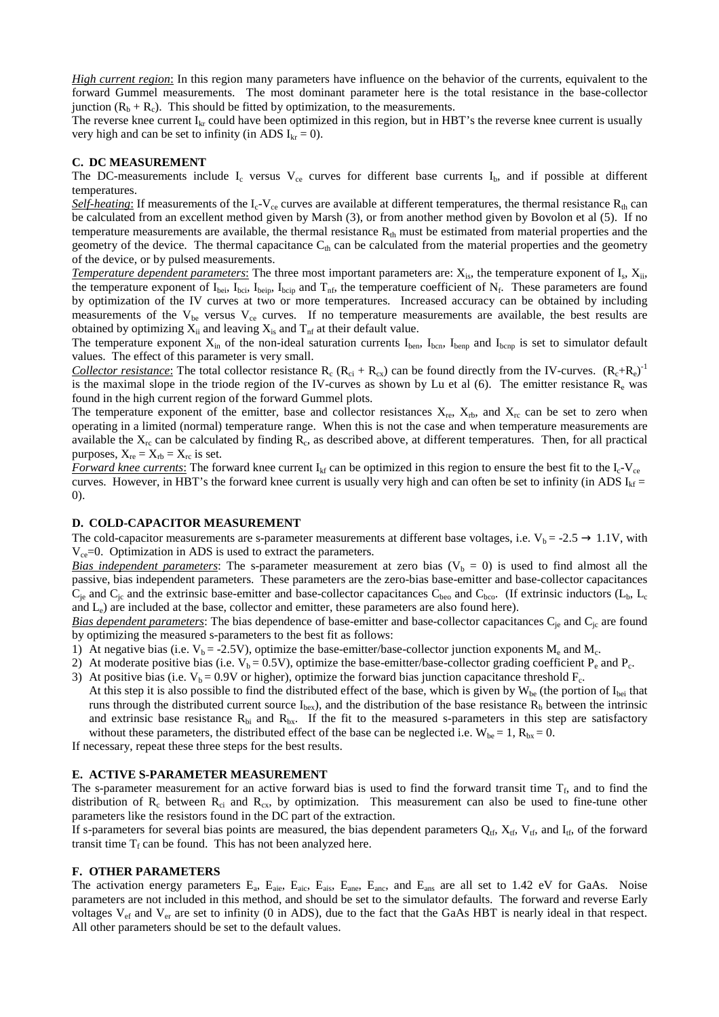*High current region*: In this region many parameters have influence on the behavior of the currents, equivalent to the forward Gummel measurements. The most dominant parameter here is the total resistance in the base-collector junction  $(R_b + R_c)$ . This should be fitted by optimization, to the measurements.

The reverse knee current  $I_{kr}$  could have been optimized in this region, but in HBT's the reverse knee current is usually very high and can be set to infinity (in ADS  $I_{kr} = 0$ ).

#### **C. DC MEASUREMENT**

The DC-measurements include  $I_c$  versus  $V_{ce}$  curves for different base currents  $I_b$ , and if possible at different temperatures.

*Self-heating*: If measurements of the  $I_c$ -V<sub>ce</sub> curves are available at different temperatures, the thermal resistance  $R_{th}$  can be calculated from an excellent method given by Marsh (3), or from another method given by Bovolon et al (5). If no temperature measurements are available, the thermal resistance  $R<sub>th</sub>$  must be estimated from material properties and the geometry of the device. The thermal capacitance  $C_{th}$  can be calculated from the material properties and the geometry of the device, or by pulsed measurements.

*Temperature dependent parameters*: The three most important parameters are:  $X_{is}$ , the temperature exponent of  $I_s$ ,  $X_{ii}$ , the temperature exponent of  $I_{\text{bei}}$ ,  $I_{\text{boi}}$ ,  $I_{\text{boi}}$ ,  $I_{\text{boi}}$ , and  $T_{\text{nf}}$ , the temperature coefficient of  $N_{\text{f}}$ . These parameters are found by optimization of the IV curves at two or more temperatures. Increased accuracy can be obtained by including measurements of the  $V_{be}$  versus  $V_{ce}$  curves. If no temperature measurements are available, the best results are obtained by optimizing  $X_{ii}$  and leaving  $X_{is}$  and  $T_{nf}$  at their default value.

The temperature exponent  $X_{in}$  of the non-ideal saturation currents  $I_{ben}$ ,  $I_{ben}$ ,  $I_{benp}$  and  $I_{benp}$  is set to simulator default values. The effect of this parameter is very small.

*Collector resistance*: The total collector resistance  $R_c (R_{ci} + R_{cx})$  can be found directly from the IV-curves.  $(R_c + R_e)^{-1}$ is the maximal slope in the triode region of the IV-curves as shown by Lu et al  $(6)$ . The emitter resistance  $R_e$  was found in the high current region of the forward Gummel plots.

The temperature exponent of the emitter, base and collector resistances  $X_{re}$ ,  $X_{rb}$ , and  $X_{rc}$  can be set to zero when operating in a limited (normal) temperature range. When this is not the case and when temperature measurements are available the  $X_{rc}$  can be calculated by finding  $R_c$ , as described above, at different temperatures. Then, for all practical purposes,  $X_{re} = X_{rb} = X_{rc}$  is set.

*Forward knee currents*: The forward knee current I<sub>kf</sub> can be optimized in this region to ensure the best fit to the I<sub>c</sub>-V<sub>ce</sub> curves. However, in HBT's the forward knee current is usually very high and can often be set to infinity (in ADS  $I_{kf}$ 0).

### **D. COLD-CAPACITOR MEASUREMENT**

The cold-capacitor measurements are s-parameter measurements at different base voltages, i.e.  $V_b = -2.5 \rightarrow 1.1V$ , with  $V_{ce}=0$ . Optimization in ADS is used to extract the parameters.

*Bias independent parameters*: The s-parameter measurement at zero bias  $(V<sub>b</sub> = 0)$  is used to find almost all the passive, bias independent parameters. These parameters are the zero-bias base-emitter and base-collector capacitances  $C_{\rm ie}$  and  $C_{\rm ic}$  and the extrinsic base-emitter and base-collector capacitances  $C_{\rm beo}$  and  $C_{\rm bco}$ . (If extrinsic inductors ( $L_{\rm b}$ ,  $L_{\rm c}$ and  $L_e$ ) are included at the base, collector and emitter, these parameters are also found here).

*Bias dependent parameters*: The bias dependence of base-emitter and base-collector capacitances C<sub>je</sub> and C<sub>jc</sub> are found by optimizing the measured s-parameters to the best fit as follows:

- 1) At negative bias (i.e.  $V_b = -2.5V$ ), optimize the base-emitter/base-collector junction exponents  $M_e$  and  $M_c$ .
- 2) At moderate positive bias (i.e.  $V_b = 0.5V$ ), optimize the base-emitter/base-collector grading coefficient  $P_e$  and  $P_c$ .
- 3) At positive bias (i.e.  $V_b = 0.9V$  or higher), optimize the forward bias junction capacitance threshold  $F_c$ . At this step it is also possible to find the distributed effect of the base, which is given by  $W_{be}$  (the portion of  $I_{bei}$  that runs through the distributed current source  $I_{bex}$ ), and the distribution of the base resistance  $R_b$  between the intrinsic and extrinsic base resistance  $R_{bi}$  and  $R_{bx}$ . If the fit to the measured s-parameters in this step are satisfactory without these parameters, the distributed effect of the base can be neglected i.e.  $W_{be} = 1$ ,  $R_{bx} = 0$ .

If necessary, repeat these three steps for the best results.

#### **E. ACTIVE S-PARAMETER MEASUREMENT**

The s-parameter measurement for an active forward bias is used to find the forward transit time  $T_f$ , and to find the distribution of  $R_c$  between  $R_{ci}$  and  $R_{cx}$ , by optimization. This measurement can also be used to fine-tune other parameters like the resistors found in the DC part of the extraction.

If s-parameters for several bias points are measured, the bias dependent parameters  $Q_{tf}$ ,  $X_{tf}$ ,  $V_{tf}$ , and  $I_{tf}$ , of the forward transit time  $T_f$  can be found. This has not been analyzed here.

#### **F. OTHER PARAMETERS**

The activation energy parameters E<sub>a</sub>, E<sub>aie</sub>, E<sub>aic</sub>, E<sub>ais</sub>, E<sub>ane</sub>, E<sub>anc</sub>, and E<sub>ans</sub> are all set to 1.42 eV for GaAs. Noise parameters are not included in this method, and should be set to the simulator defaults. The forward and reverse Early voltages  $V_{\text{ef}}$  and  $V_{\text{er}}$  are set to infinity (0 in ADS), due to the fact that the GaAs HBT is nearly ideal in that respect. All other parameters should be set to the default values.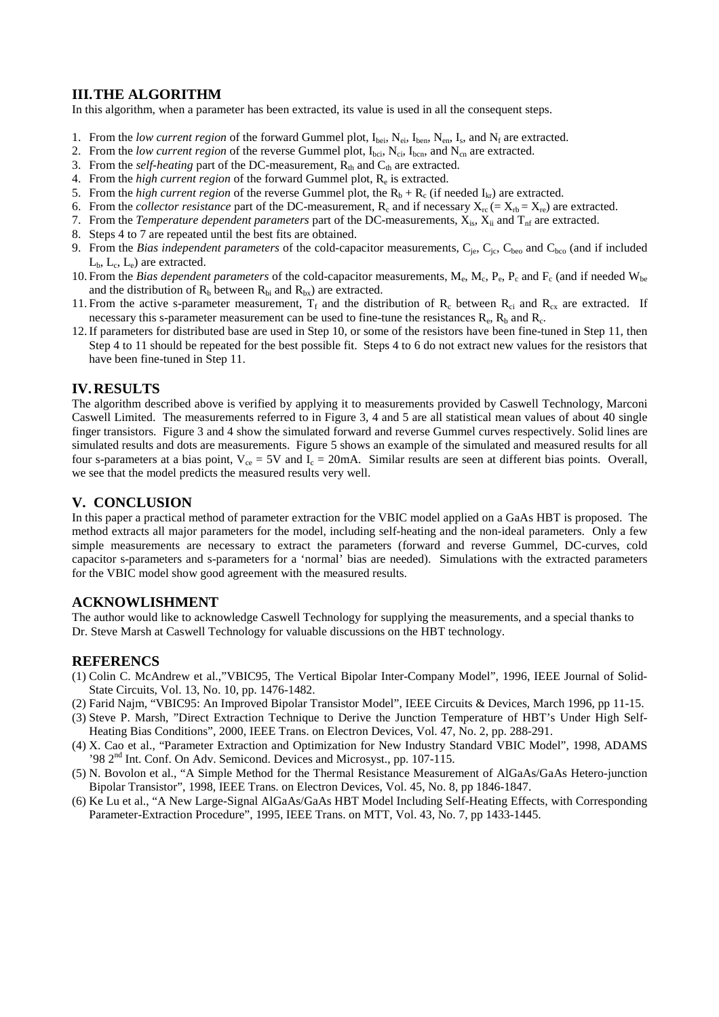# **III.THE ALGORITHM**

In this algorithm, when a parameter has been extracted, its value is used in all the consequent steps.

- 1. From the *low current region* of the forward Gummel plot,  $I_{\text{bei}}$ ,  $N_{\text{ei}}$ ,  $N_{\text{en}}$ ,  $N_{\text{sn}}$ ,  $N_{\text{fn}}$ , and  $N_{\text{f}}$  are extracted.
- 2. From the *low current region* of the reverse Gummel plot,  $I_{bci}$ ,  $N_{ci}$ ,  $I_{bcn}$ , and  $N_{cn}$  are extracted.
- 3. From the *self-heating* part of the DC-measurement,  $R_{th}$  and  $C_{th}$  are extracted.
- 4. From the *high current region* of the forward Gummel plot, Re is extracted.
- 5. From the *high current region* of the reverse Gummel plot, the  $R_b + R_c$  (if needed  $I_{kr}$ ) are extracted.
- 6. From the *collector resistance* part of the DC-measurement,  $R_c$  and if necessary  $X_{rc} = X_{rb} = X_{rc}$  are extracted.
- 7. From the *Temperature dependent parameters* part of the DC-measurements,  $X_{is}$ ,  $X_{ii}$  and  $T_{nf}$  are extracted.
- 8. Steps 4 to 7 are repeated until the best fits are obtained.
- 9. From the *Bias independent parameters* of the cold-capacitor measurements, C<sub>je</sub>, C<sub>je</sub>, C<sub>beo</sub> and C<sub>bco</sub> (and if included  $L_{b}$ ,  $L_{c}$ ,  $L_{e}$ ) are extracted.
- 10. From the *Bias dependent parameters* of the cold-capacitor measurements, M<sub>e</sub>, M<sub>c</sub>, P<sub>e</sub>, P<sub>c</sub> and F<sub>c</sub> (and if needed W<sub>be</sub> and the distribution of  $R_b$  between  $R_{bi}$  and  $R_{bx}$ ) are extracted.
- 11. From the active s-parameter measurement,  $T_f$  and the distribution of  $R_c$  between  $R_{ci}$  and  $R_{cx}$  are extracted. If necessary this s-parameter measurement can be used to fine-tune the resistances  $R_e$ ,  $R_b$  and  $R_c$ .
- 12.If parameters for distributed base are used in Step 10, or some of the resistors have been fine-tuned in Step 11, then Step 4 to 11 should be repeated for the best possible fit. Steps 4 to 6 do not extract new values for the resistors that have been fine-tuned in Step 11.

# **IV.RESULTS**

The algorithm described above is verified by applying it to measurements provided by Caswell Technology, Marconi Caswell Limited. The measurements referred to in Figure 3, 4 and 5 are all statistical mean values of about 40 single finger transistors. Figure 3 and 4 show the simulated forward and reverse Gummel curves respectively. Solid lines are simulated results and dots are measurements. Figure 5 shows an example of the simulated and measured results for all four s-parameters at a bias point,  $V_{ce} = 5V$  and  $\overline{I}_c = 20$  mA. Similar results are seen at different bias points. Overall, we see that the model predicts the measured results very well.

# **V. CONCLUSION**

In this paper a practical method of parameter extraction for the VBIC model applied on a GaAs HBT is proposed. The method extracts all major parameters for the model, including self-heating and the non-ideal parameters. Only a few simple measurements are necessary to extract the parameters (forward and reverse Gummel, DC-curves, cold capacitor s-parameters and s-parameters for a 'normal' bias are needed). Simulations with the extracted parameters for the VBIC model show good agreement with the measured results.

# **ACKNOWLISHMENT**

The author would like to acknowledge Caswell Technology for supplying the measurements, and a special thanks to Dr. Steve Marsh at Caswell Technology for valuable discussions on the HBT technology.

# **REFERENCS**

- (1) Colin C. McAndrew et al.,"VBIC95, The Vertical Bipolar Inter-Company Model", 1996, IEEE Journal of Solid-State Circuits, Vol. 13, No. 10, pp. 1476-1482.
- (2) Farid Najm, "VBIC95: An Improved Bipolar Transistor Model", IEEE Circuits & Devices, March 1996, pp 11-15.
- (3) Steve P. Marsh, "Direct Extraction Technique to Derive the Junction Temperature of HBT's Under High Self-Heating Bias Conditions", 2000, IEEE Trans. on Electron Devices, Vol. 47, No. 2, pp. 288-291.
- (4) X. Cao et al., "Parameter Extraction and Optimization for New Industry Standard VBIC Model", 1998, ADAMS  $2^{nd}$  Int. Conf. On Adv. Semicond. Devices and Microsyst., pp. 107-115.
- (5) N. Bovolon et al., "A Simple Method for the Thermal Resistance Measurement of AlGaAs/GaAs Hetero-junction Bipolar Transistor", 1998, IEEE Trans. on Electron Devices, Vol. 45, No. 8, pp 1846-1847.
- (6) Ke Lu et al., "A New Large-Signal AlGaAs/GaAs HBT Model Including Self-Heating Effects, with Corresponding Parameter-Extraction Procedure", 1995, IEEE Trans. on MTT, Vol. 43, No. 7, pp 1433-1445.